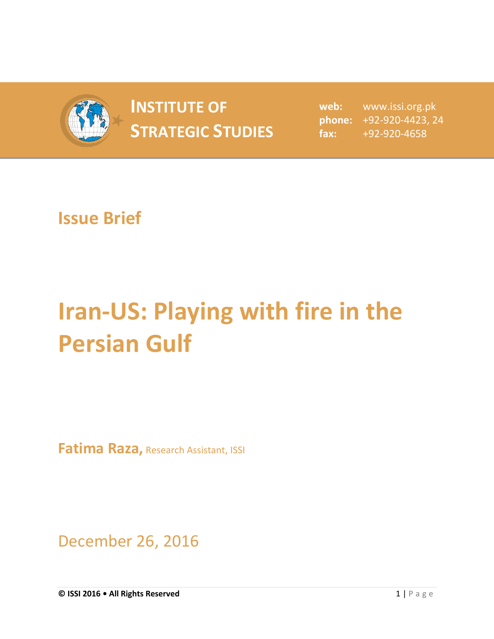

## **INSTITUTE OF STRATEGIC STUDIES**  $\begin{bmatrix} 1 & 1 & 1 \\ 1 & 2 & 3 \\ 2 & 3 & 5 \end{bmatrix}$

**web:** www.issi.org.pk **phone:** +92-920-4423, 24 **fax:** +92-920-4658

## **Issue Brief**

## **Iran-US: Playing with fire in the Persian Gulf**

**Fatima Raza,** Research Assistant, ISSI

December 26, 2016

**© ISSI 2016 • All Rights Reserved** 1 | P a g e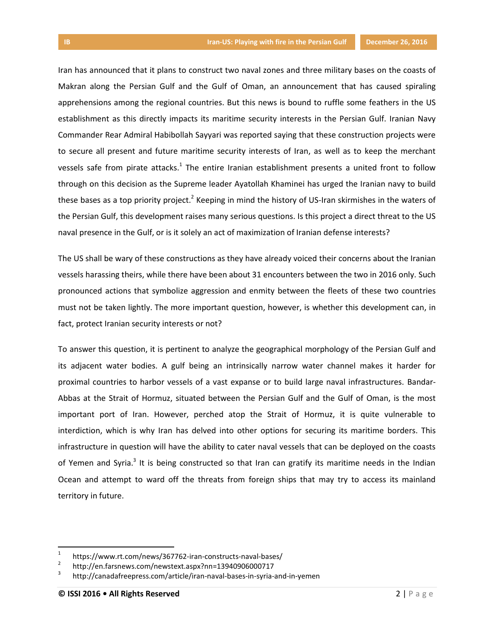Iran has announced that it plans to construct two naval zones and three military bases on the coasts of Makran along the Persian Gulf and the Gulf of Oman, an announcement that has caused spiraling apprehensions among the regional countries. But this news is bound to ruffle some feathers in the US establishment as this directly impacts its maritime security interests in the Persian Gulf. Iranian Navy Commander Rear Admiral Habibollah Sayyari was reported saying that these construction projects were to secure all present and future maritime security interests of Iran, as well as to keep the merchant vessels safe from pirate attacks.<sup>1</sup> The entire Iranian establishment presents a united front to follow through on this decision as the Supreme leader Ayatollah Khaminei has urged the Iranian navy to build these bases as a top priority project.<sup>2</sup> Keeping in mind the history of US-Iran skirmishes in the waters of the Persian Gulf, this development raises many serious questions. Is this project a direct threat to the US naval presence in the Gulf, or is it solely an act of maximization of Iranian defense interests?

The US shall be wary of these constructions as they have already voiced their concerns about the Iranian vessels harassing theirs, while there have been about 31 encounters between the two in 2016 only. Such pronounced actions that symbolize aggression and enmity between the fleets of these two countries must not be taken lightly. The more important question, however, is whether this development can, in fact, protect Iranian security interests or not?

To answer this question, it is pertinent to analyze the geographical morphology of the Persian Gulf and its adjacent water bodies. A gulf being an intrinsically narrow water channel makes it harder for proximal countries to harbor vessels of a vast expanse or to build large naval infrastructures. Bandar-Abbas at the Strait of Hormuz, situated between the Persian Gulf and the Gulf of Oman, is the most important port of Iran. However, perched atop the Strait of Hormuz, it is quite vulnerable to interdiction, which is why Iran has delved into other options for securing its maritime borders. This infrastructure in question will have the ability to cater naval vessels that can be deployed on the coasts of Yemen and Syria.<sup>3</sup> It is being constructed so that Iran can gratify its maritime needs in the Indian Ocean and attempt to ward off the threats from foreign ships that may try to access its mainland territory in future.

 $\overline{\phantom{a}}$ 

<sup>1</sup> https://www.rt.com/news/367762-iran-constructs-naval-bases/

<sup>2</sup> http://en.farsnews.com/newstext.aspx?nn=13940906000717

<sup>3</sup> http://canadafreepress.com/article/iran-naval-bases-in-syria-and-in-yemen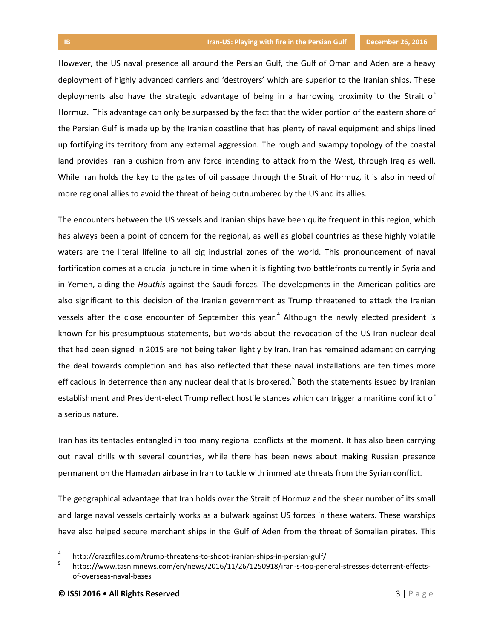However, the US naval presence all around the Persian Gulf, the Gulf of Oman and Aden are a heavy deployment of highly advanced carriers and 'destroyers' which are superior to the Iranian ships. These deployments also have the strategic advantage of being in a harrowing proximity to the Strait of Hormuz. This advantage can only be surpassed by the fact that the wider portion of the eastern shore of the Persian Gulf is made up by the Iranian coastline that has plenty of naval equipment and ships lined up fortifying its territory from any external aggression. The rough and swampy topology of the coastal land provides Iran a cushion from any force intending to attack from the West, through Iraq as well. While Iran holds the key to the gates of oil passage through the Strait of Hormuz, it is also in need of more regional allies to avoid the threat of being outnumbered by the US and its allies.

The encounters between the US vessels and Iranian ships have been quite frequent in this region, which has always been a point of concern for the regional, as well as global countries as these highly volatile waters are the literal lifeline to all big industrial zones of the world. This pronouncement of naval fortification comes at a crucial juncture in time when it is fighting two battlefronts currently in Syria and in Yemen, aiding the *Houthis* against the Saudi forces. The developments in the American politics are also significant to this decision of the Iranian government as Trump threatened to attack the Iranian vessels after the close encounter of September this year.<sup>4</sup> Although the newly elected president is known for his presumptuous statements, but words about the revocation of the US-Iran nuclear deal that had been signed in 2015 are not being taken lightly by Iran. Iran has remained adamant on carrying the deal towards completion and has also reflected that these naval installations are ten times more efficacious in deterrence than any nuclear deal that is brokered.<sup>5</sup> Both the statements issued by Iranian establishment and President-elect Trump reflect hostile stances which can trigger a maritime conflict of a serious nature.

Iran has its tentacles entangled in too many regional conflicts at the moment. It has also been carrying out naval drills with several countries, while there has been news about making Russian presence permanent on the Hamadan airbase in Iran to tackle with immediate threats from the Syrian conflict.

The geographical advantage that Iran holds over the Strait of Hormuz and the sheer number of its small and large naval vessels certainly works as a bulwark against US forces in these waters. These warships have also helped secure merchant ships in the Gulf of Aden from the threat of Somalian pirates. This

 $\overline{\phantom{a}}$ 

<sup>4</sup> http://crazzfiles.com/trump-threatens-to-shoot-iranian-ships-in-persian-gulf/

<sup>5</sup> https://www.tasnimnews.com/en/news/2016/11/26/1250918/iran-s-top-general-stresses-deterrent-effectsof-overseas-naval-bases